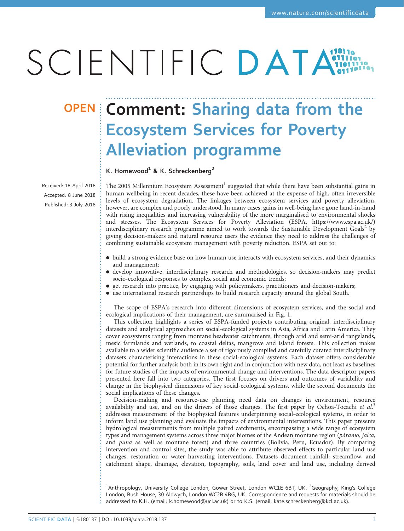# SCIENTIFIC DATA

## OPEN Comment: Sharing data from the Ecosystem Services for Poverty Alleviation programme

K. Homewood $1$  & K. Schreckenberg<sup>2</sup>

Received: 18 April 2018 Accepted: 8 June 2018 Published: 3 July 2018 The 2005 Millennium Ecosystem Assessment<sup>[1](#page-2-0)</sup> suggested that while there have been substantial gains in human wellbeing in recent decades, these have been achieved at the expense of high, often irreversible levels of ecosystem degradation. The linkages between ecosystem services and poverty alleviation, however, are complex and poorly understood. In many cases, gains in well-being have gone hand-in-hand with rising inequalities and increasing vulnerability of the more marginalised to environmental shocks and stresses. The Ecosystem Services for Poverty Alleviation (ESPA,<https://www.espa.ac.uk/>) interdisciplinary research programme aimed to work towards the Sustainable Development  $Goals<sup>2</sup>$  $Goals<sup>2</sup>$  $Goals<sup>2</sup>$  by giving decision-makers and natural resource users the evidence they need to address the challenges of combining sustainable ecosystem management with poverty reduction. ESPA set out to:

- build a strong evidence base on how human use interacts with ecosystem services, and their dynamics and management;
- develop innovative, interdisciplinary research and methodologies, so decision-makers may predict socio-ecological responses to complex social and economic trends;
- get research into practice, by engaging with policymakers, practitioners and decision-makers;
- use international research partnerships to build research capacity around the global South.

The scope of ESPA's research into different dimensions of ecosystem services, and the social and ecological implications of their management, are summarised in [Fig. 1](#page-1-0).

This collection highlights a series of ESPA-funded projects contributing original, interdisciplinary datasets and analytical approaches on social-ecological systems in Asia, Africa and Latin America. They cover ecosystems ranging from montane headwater catchments, through arid and semi-arid rangelands, mesic farmlands and wetlands, to coastal deltas, mangrove and island forests. This collection makes available to a wider scientific audience a set of rigorously compiled and carefully curated interdisciplinary datasets characterising interactions in these social-ecological systems. Each dataset offers considerable potential for further analysis both in its own right and in conjunction with new data, not least as baselines for future studies of the impacts of environmental change and interventions. The data descriptor papers presented here fall into two categories. The first focuses on drivers and outcomes of variability and change in the biophysical dimensions of key social-ecological systems, while the second documents the social implications of these changes.

Decision-making and resource-use planning need data on changes in environment, resource availability and use, and on the drivers of those changes. The first paper by Ochoa-Tocachi et al.<sup>[3](#page-2-0)</sup> addresses measurement of the biophysical features underpinning social-ecological systems, in order to inform land use planning and evaluate the impacts of environmental interventions. This paper presents hydrological measurements from multiple paired catchments, encompassing a wide range of ecosystem types and management systems across three major biomes of the Andean montane region (páramo, jalca, and puna as well as montane forest) and three countries (Bolivia, Peru, Ecuador). By comparing intervention and control sites, the study was able to attribute observed effects to particular land use changes, restoration or water harvesting interventions. Datasets document rainfall, streamflow, and catchment shape, drainage, elevation, topography, soils, land cover and land use, including derived

 $^{\rm 1}$ Anthropology, University College London, Gower Street, London WC1E 6BT, UK.  $^{\rm 2}$ Geography, King's College London, Bush House, 30 Aldwych, London WC2B 4BG, UK. Correspondence and requests for materials should be addressed to K.H. (email: [k.homewood@ucl.ac.uk](mailto:k.homewood@ucl.ac.uk)) or to K.S. (email: [kate.schreckenberg@kcl.ac.uk\)](mailto:kate.schreckenberg@kcl.ac.uk).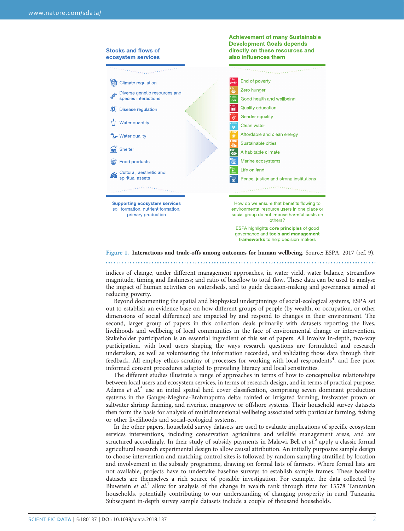<span id="page-1-0"></span>

Figure 1. Interactions and trade-offs among outcomes for human wellbeing. Source: ESPA, 2017 (ref. [9](#page-2-0)).

### 

**Achievement of many Sustainable** 

indices of change, under different management approaches, in water yield, water balance, streamflow magnitude, timing and flashiness; and ratio of baseflow to total flow. These data can be used to analyse the impact of human activities on watersheds, and to guide decision-making and governance aimed at reducing poverty.

Beyond documenting the spatial and biophysical underpinnings of social-ecological systems, ESPA set out to establish an evidence base on how different groups of people (by wealth, or occupation, or other dimensions of social difference) are impacted by and respond to changes in their environment. The second, larger group of papers in this collection deals primarily with datasets reporting the lives, livelihoods and wellbeing of local communities in the face of environmental change or intervention. Stakeholder participation is an essential ingredient of this set of papers. All involve in-depth, two-way participation, with local users shaping the ways research questions are formulated and research undertaken, as well as volunteering the information recorded, and validating those data through their feedback. All employ ethics scrutiny of processes for working with local respondents<sup>[4](#page-2-0)</sup>, and free prior informed consent procedures adapted to prevailing literacy and local sensitivities.

The different studies illustrate a range of approaches in terms of how to conceptualise relationships between local users and ecosystem services, in terms of research design, and in terms of practical purpose. Adams et al.<sup>[5](#page-2-0)</sup> use an initial spatial land cover classification, comprising seven dominant production systems in the Ganges-Meghna-Brahmaputra delta: rainfed or irrigated farming, freshwater prawn or saltwater shrimp farming, and riverine, mangrove or offshore systems. Their household survey datasets then form the basis for analysis of multidimensional wellbeing associated with particular farming, fishing or other livelihoods and social-ecological systems.

In the other papers, household survey datasets are used to evaluate implications of specific ecosystem services interventions, including conservation agriculture and wildlife management areas, and are structured accordingly. In their study of subsidy payments in Malawi, Bell et al.<sup>[6](#page-2-0)</sup> apply a classic formal agricultural research experimental design to allow causal attribution. An initially purposive sample design to choose intervention and matching control sites is followed by random sampling stratified by location and involvement in the subsidy programme, drawing on formal lists of farmers. Where formal lists are not available, projects have to undertake baseline surveys to establish sample frames. These baseline datasets are themselves a rich source of possible investigation. For example, the data collected by Bluwstein et al.<sup>[7](#page-2-0)</sup> allow for analysis of the change in wealth rank through time for 13578 Tanzanian households, potentially contributing to our understanding of changing prosperity in rural Tanzania. Subsequent in-depth survey sample datasets include a couple of thousand households.